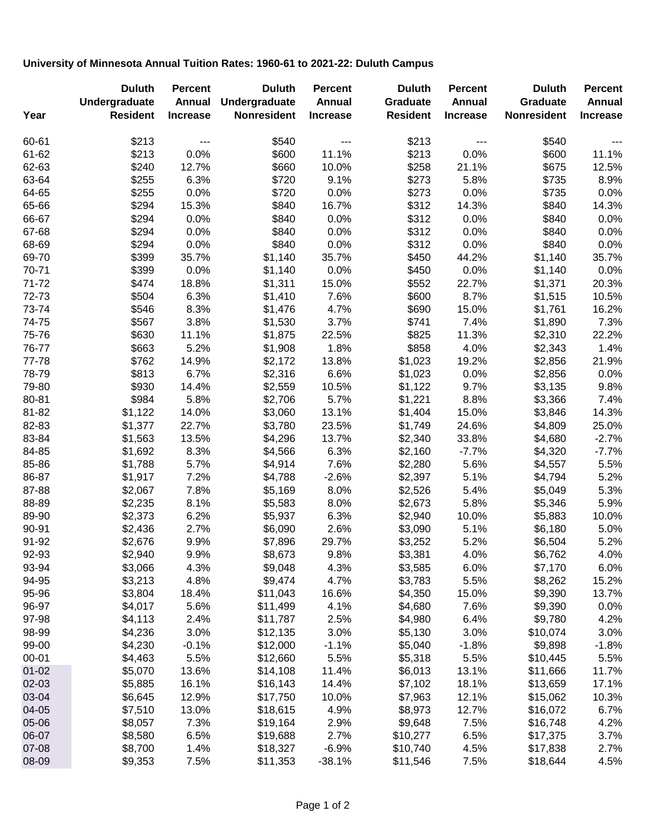## **University of Minnesota Annual Tuition Rates: 1960-61 to 2021-22: Duluth Campus**

|           | <b>Duluth</b>   | <b>Percent</b>  | <b>Duluth</b>      | <b>Percent</b>  | <b>Duluth</b>   | <b>Percent</b>  | <b>Duluth</b>      | <b>Percent</b>  |
|-----------|-----------------|-----------------|--------------------|-----------------|-----------------|-----------------|--------------------|-----------------|
|           | Undergraduate   | <b>Annual</b>   | Undergraduate      | Annual          | Graduate        | Annual          | Graduate           | Annual          |
| Year      | <b>Resident</b> | <b>Increase</b> | <b>Nonresident</b> | <b>Increase</b> | <b>Resident</b> | <b>Increase</b> | <b>Nonresident</b> | <b>Increase</b> |
| 60-61     | \$213           | $---$           | \$540              | $---$           | \$213           | $---$           | \$540              | $- - -$         |
| 61-62     | \$213           | 0.0%            | \$600              | 11.1%           | \$213           | 0.0%            | \$600              | 11.1%           |
| 62-63     | \$240           | 12.7%           | \$660              | 10.0%           | \$258           | 21.1%           | \$675              | 12.5%           |
| 63-64     | \$255           | 6.3%            | \$720              | 9.1%            | \$273           | 5.8%            | \$735              | 8.9%            |
| 64-65     | \$255           | 0.0%            | \$720              | 0.0%            | \$273           | 0.0%            | \$735              | 0.0%            |
| 65-66     | \$294           | 15.3%           | \$840              | 16.7%           | \$312           | 14.3%           | \$840              | 14.3%           |
| 66-67     | \$294           | 0.0%            | \$840              | 0.0%            | \$312           | 0.0%            | \$840              | 0.0%            |
| 67-68     | \$294           | 0.0%            | \$840              | 0.0%            | \$312           | 0.0%            | \$840              | 0.0%            |
| 68-69     | \$294           | 0.0%            | \$840              | 0.0%            | \$312           | 0.0%            | \$840              | 0.0%            |
| 69-70     | \$399           | 35.7%           | \$1,140            | 35.7%           | \$450           | 44.2%           | \$1,140            | 35.7%           |
| 70-71     | \$399           | 0.0%            | \$1,140            | 0.0%            | \$450           | 0.0%            | \$1,140            | 0.0%            |
| 71-72     | \$474           | 18.8%           | \$1,311            | 15.0%           | \$552           | 22.7%           | \$1,371            | 20.3%           |
| 72-73     | \$504           | 6.3%            | \$1,410            | 7.6%            | \$600           | 8.7%            | \$1,515            | 10.5%           |
| 73-74     | \$546           | 8.3%            | \$1,476            | 4.7%            | \$690           | 15.0%           | \$1,761            | 16.2%           |
| 74-75     | \$567           | 3.8%            | \$1,530            | 3.7%            | \$741           | 7.4%            | \$1,890            | 7.3%            |
| 75-76     | \$630           | 11.1%           | \$1,875            | 22.5%           | \$825           | 11.3%           | \$2,310            | 22.2%           |
| 76-77     | \$663           | 5.2%            | \$1,908            | 1.8%            | \$858           | 4.0%            | \$2,343            | 1.4%            |
| 77-78     | \$762           | 14.9%           | \$2,172            | 13.8%           | \$1,023         | 19.2%           | \$2,856            | 21.9%           |
| 78-79     | \$813           | 6.7%            | \$2,316            | 6.6%            | \$1,023         | 0.0%            | \$2,856            | 0.0%            |
| 79-80     | \$930           | 14.4%           | \$2,559            | 10.5%           | \$1,122         | 9.7%            | \$3,135            | 9.8%            |
| 80-81     | \$984           | 5.8%            | \$2,706            | 5.7%            | \$1,221         | 8.8%            | \$3,366            | 7.4%            |
| 81-82     | \$1,122         | 14.0%           | \$3,060            | 13.1%           | \$1,404         | 15.0%           | \$3,846            | 14.3%           |
| 82-83     | \$1,377         | 22.7%           | \$3,780            | 23.5%           | \$1,749         | 24.6%           | \$4,809            | 25.0%           |
| 83-84     | \$1,563         | 13.5%           | \$4,296            | 13.7%           | \$2,340         | 33.8%           | \$4,680            | $-2.7%$         |
| 84-85     | \$1,692         | 8.3%            | \$4,566            | 6.3%            | \$2,160         | $-7.7%$         | \$4,320            | $-7.7%$         |
| 85-86     | \$1,788         | 5.7%            | \$4,914            | 7.6%            | \$2,280         | 5.6%            | \$4,557            | 5.5%            |
| 86-87     | \$1,917         | 7.2%            | \$4,788            | $-2.6%$         | \$2,397         | 5.1%            | \$4,794            | 5.2%            |
| 87-88     | \$2,067         | 7.8%            | \$5,169            | 8.0%            | \$2,526         | 5.4%            | \$5,049            | 5.3%            |
| 88-89     | \$2,235         | 8.1%            | \$5,583            | 8.0%            | \$2,673         | 5.8%            | \$5,346            | 5.9%            |
| 89-90     | \$2,373         | 6.2%            | \$5,937            | 6.3%            | \$2,940         | 10.0%           | \$5,883            | 10.0%           |
| 90-91     | \$2,436         | 2.7%            | \$6,090            | 2.6%            | \$3,090         | 5.1%            | \$6,180            | 5.0%            |
| 91-92     | \$2,676         | 9.9%            | \$7,896            | 29.7%           | \$3,252         | 5.2%            | \$6,504            | 5.2%            |
| 92-93     | \$2,940         | 9.9%            | \$8,673            | 9.8%            | \$3,381         | 4.0%            | \$6,762            | 4.0%            |
| 93-94     | \$3,066         | 4.3%            | \$9,048            | 4.3%            | \$3,585         | 6.0%            | \$7,170            | 6.0%            |
| 94-95     | \$3,213         | 4.8%            | \$9,474            | 4.7%            | \$3,783         | 5.5%            | \$8,262            | 15.2%           |
| 95-96     | \$3,804         | 18.4%           | \$11,043           | 16.6%           | \$4,350         | 15.0%           | \$9,390            | 13.7%           |
| 96-97     | \$4,017         | 5.6%            | \$11,499           | 4.1%            | \$4,680         | 7.6%            | \$9,390            | 0.0%            |
| 97-98     | \$4,113         | 2.4%            | \$11,787           | 2.5%            | \$4,980         | 6.4%            | \$9,780            | 4.2%            |
| 98-99     | \$4,236         | 3.0%            | \$12,135           | 3.0%            | \$5,130         | 3.0%            | \$10,074           | 3.0%            |
| 99-00     |                 | $-0.1%$         |                    |                 |                 |                 | \$9,898            | $-1.8%$         |
|           | \$4,230         |                 | \$12,000           | $-1.1%$         | \$5,040         | $-1.8%$         |                    |                 |
| $00 - 01$ | \$4,463         | 5.5%            | \$12,660           | 5.5%            | \$5,318         | 5.5%            | \$10,445           | 5.5%            |
| $01 - 02$ | \$5,070         | 13.6%           | \$14,108           | 11.4%           | \$6,013         | 13.1%           | \$11,666           | 11.7%           |
| 02-03     | \$5,885         | 16.1%           | \$16,143           | 14.4%           | \$7,102         | 18.1%           | \$13,659           | 17.1%           |
| 03-04     | \$6,645         | 12.9%           | \$17,750           | 10.0%           | \$7,963         | 12.1%           | \$15,062           | 10.3%           |
| 04-05     | \$7,510         | 13.0%           | \$18,615           | 4.9%            | \$8,973         | 12.7%           | \$16,072           | 6.7%            |
| 05-06     | \$8,057         | 7.3%            | \$19,164           | 2.9%            | \$9,648         | 7.5%            | \$16,748           | 4.2%            |
| 06-07     | \$8,580         | 6.5%            | \$19,688           | 2.7%            | \$10,277        | 6.5%            | \$17,375           | 3.7%            |
| 07-08     | \$8,700         | 1.4%            | \$18,327           | $-6.9%$         | \$10,740        | 4.5%            | \$17,838           | 2.7%            |
| 08-09     | \$9,353         | 7.5%            | \$11,353           | $-38.1%$        | \$11,546        | 7.5%            | \$18,644           | 4.5%            |